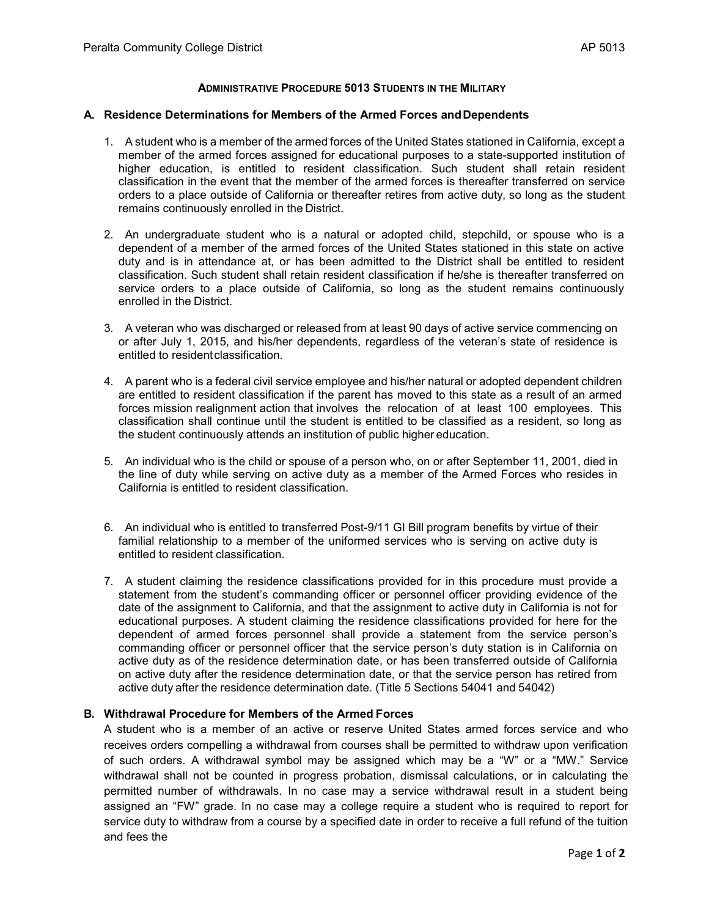## **ADMINISTRATIVE PROCEDURE 5013 STUDENTS IN THE MILITARY**

## **A. Residence Determinations for Members of the Armed Forces andDependents**

- 1. A student who is a member of the armed forces of the United States stationed in California, except a member of the armed forces assigned for educational purposes to a state-supported institution of higher education, is entitled to resident classification. Such student shall retain resident classification in the event that the member of the armed forces is thereafter transferred on service orders to a place outside of California or thereafter retires from active duty, so long as the student remains continuously enrolled in the District.
- 2. An undergraduate student who is a natural or adopted child, stepchild, or spouse who is a dependent of a member of the armed forces of the United States stationed in this state on active duty and is in attendance at, or has been admitted to the District shall be entitled to resident classification. Such student shall retain resident classification if he/she is thereafter transferred on service orders to a place outside of California, so long as the student remains continuously enrolled in the District.
- 3. A veteran who was discharged or released from at least 90 days of active service commencing on or after July 1, 2015, and his/her dependents, regardless of the veteran's state of residence is entitled to residentclassification.
- 4. A parent who is a federal civil service employee and his/her natural or adopted dependent children are entitled to resident classification if the parent has moved to this state as a result of an armed forces mission realignment action that involves the relocation of at least 100 employees. This classification shall continue until the student is entitled to be classified as a resident, so long as the student continuously attends an institution of public higher education.
- 5. An individual who is the child or spouse of a person who, on or after September 11, 2001, died in the line of duty while serving on active duty as a member of the Armed Forces who resides in California is entitled to resident classification.
- 6. An individual who is entitled to transferred Post-9/11 GI Bill program benefits by virtue of their familial relationship to a member of the uniformed services who is serving on active duty is entitled to resident classification.
- 7. A student claiming the residence classifications provided for in this procedure must provide a statement from the student's commanding officer or personnel officer providing evidence of the date of the assignment to California, and that the assignment to active duty in California is not for educational purposes. A student claiming the residence classifications provided for here for the dependent of armed forces personnel shall provide a statement from the service person's commanding officer or personnel officer that the service person's duty station is in California on active duty as of the residence determination date, or has been transferred outside of California on active duty after the residence determination date, or that the service person has retired from active duty after the residence determination date. (Title 5 Sections 54041 and 54042)

## **B. Withdrawal Procedure for Members of the Armed Forces**

A student who is a member of an active or reserve United States armed forces service and who receives orders compelling a withdrawal from courses shall be permitted to withdraw upon verification of such orders. A withdrawal symbol may be assigned which may be a "W" or a "MW." Service withdrawal shall not be counted in progress probation, dismissal calculations, or in calculating the permitted number of withdrawals. In no case may a service withdrawal result in a student being assigned an "FW" grade. In no case may a college require a student who is required to report for service duty to withdraw from a course by a specified date in order to receive a full refund of the tuition and fees the